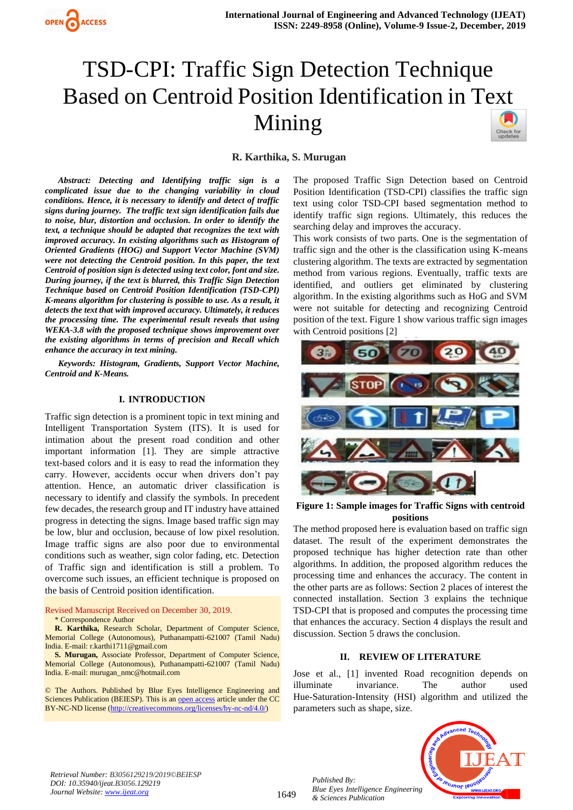

# TSD-CPI: Traffic Sign Detection Technique Based on Centroid Position Identification in Text Mining Check for<br>updates

## **R. Karthika, S. Murugan**

*Abstract: Detecting and Identifying traffic sign is a complicated issue due to the changing variability in cloud conditions. Hence, it is necessary to identify and detect of traffic signs during journey. The traffic text sign identification fails due to noise, blur, distortion and occlusion. In order to identify the text, a technique should be adapted that recognizes the text with improved accuracy. In existing algorithms such as Histogram of Oriented Gradients (HOG) and Support Vector Machine (SVM) were not detecting the Centroid position. In this paper, the text Centroid of position sign is detected using text color, font and size. During journey, if the text is blurred, this Traffic Sign Detection Technique based on Centroid Position Identification (TSD-CPI) K-means algorithm for clustering is possible to use. As a result, it detects the text that with improved accuracy. Ultimately, it reduces the processing time. The experimental result reveals that using WEKA-3.8 with the proposed technique shows improvement over the existing algorithms in terms of precision and Recall which enhance the accuracy in text mining.*

*Keywords: Histogram, Gradients, Support Vector Machine, Centroid and K-Means.*

### **I. INTRODUCTION**

Traffic sign detection is a prominent topic in text mining and Intelligent Transportation System (ITS). It is used for intimation about the present road condition and other important information [1]. They are simple attractive text-based colors and it is easy to read the information they carry. However, accidents occur when drivers don't pay attention. Hence, an automatic driver classification is necessary to identify and classify the symbols. In precedent few decades, the research group and IT industry have attained progress in detecting the signs. Image based traffic sign may be low, blur and occlusion, because of low pixel resolution. Image traffic signs are also poor due to environmental conditions such as weather, sign color fading, etc. Detection of Traffic sign and identification is still a problem. To overcome such issues, an efficient technique is proposed on the basis of Centroid position identification.

Revised Manuscript Received on December 30, 2019.

#### \* Correspondence Author

**R. Karthika,** Research Scholar, Department of Computer Science, Memorial College (Autonomous), Puthanampatti-621007 (Tamil Nadu) India. E-mail: [r.karthi1711@gmail.com](mailto:r.karthi1711@gmail.com)

**S. Murugan,** Associate Professor, Department of Computer Science, Memorial College (Autonomous), Puthanampatti-621007 (Tamil Nadu) India. E-mail: [murugan\\_nmc@hotmail.com](mailto:1murugan_nmc@hotmail.com)

© The Authors. Published by Blue Eyes Intelligence Engineering and Sciences Publication (BEIESP). This is a[n open access](https://www.openaccess.nl/en/open-publications) article under the CC BY-NC-ND license [\(http://creativecommons.org/licenses/by-nc-nd/4.0/\)](http://creativecommons.org/licenses/by-nc-nd/4.0/)

The proposed Traffic Sign Detection based on Centroid Position Identification (TSD-CPI) classifies the traffic sign text using color TSD-CPI based segmentation method to identify traffic sign regions. Ultimately, this reduces the searching delay and improves the accuracy.

This work consists of two parts. One is the segmentation of traffic sign and the other is the classification using K-means clustering algorithm. The texts are extracted by segmentation method from various regions. Eventually, traffic texts are identified, and outliers get eliminated by clustering algorithm. In the existing algorithms such as HoG and SVM were not suitable for detecting and recognizing Centroid position of the text. Figure 1 show various traffic sign images with Centroid positions [2]



**Figure 1: Sample images for Traffic Signs with centroid positions**

The method proposed here is evaluation based on traffic sign dataset. The result of the experiment demonstrates the proposed technique has higher detection rate than other algorithms. In addition, the proposed algorithm reduces the processing time and enhances the accuracy. The content in the other parts are as follows: Section 2 places of interest the connected installation. Section 3 explains the technique TSD-CPI that is proposed and computes the processing time that enhances the accuracy. Section 4 displays the result and discussion. Section 5 draws the conclusion.

## **II. REVIEW OF LITERATURE**

Jose et al., [1] invented Road recognition depends on illuminate invariance. The author used Hue-Saturation-Intensity (HSI) algorithm and utilized the parameters such as shape, size.



*Retrieval Number: B3056129219/2019©BEIESP DOI: 10.35940/ijeat.B3056.129219 Journal Website[: www.ijeat.org](http://www.ijeat.org/)*

1649

*Published By: Blue Eyes Intelligence Engineering & Sciences Publication*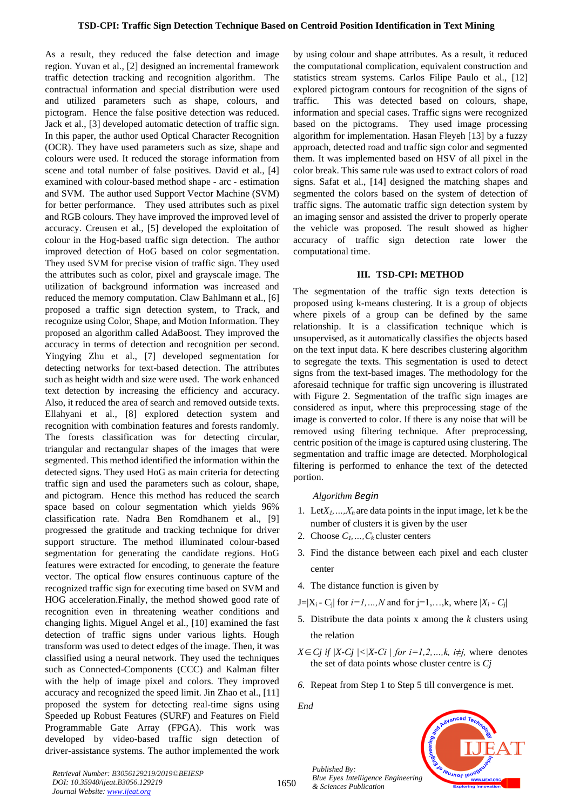As a result, they reduced the false detection and image region. Yuvan et al., [2] designed an incremental framework traffic detection tracking and recognition algorithm. The contractual information and special distribution were used and utilized parameters such as shape, colours, and pictogram. Hence the false positive detection was reduced. Jack et al., [3] developed automatic detection of traffic sign. In this paper, the author used Optical Character Recognition (OCR). They have used parameters such as size, shape and colours were used. It reduced the storage information from scene and total number of false positives. David et al., [4] examined with colour-based method shape - arc - estimation and SVM. The author used Support Vector Machine (SVM) for better performance. They used attributes such as pixel and RGB colours. They have improved the improved level of accuracy. Creusen et al., [5] developed the exploitation of colour in the Hog-based traffic sign detection. The author improved detection of HoG based on color segmentation. They used SVM for precise vision of traffic sign. They used the attributes such as color, pixel and grayscale image. The utilization of background information was increased and reduced the memory computation. Claw Bahlmann et al., [6] proposed a traffic sign detection system, to Track, and recognize using Color, Shape, and Motion Information. They proposed an algorithm called AdaBoost. They improved the accuracy in terms of detection and recognition per second. Yingying Zhu et al., [7] developed segmentation for detecting networks for text-based detection. The attributes such as height width and size were used. The work enhanced text detection by increasing the efficiency and accuracy. Also, it reduced the area of search and removed outside texts. Ellahyani et al., [8] explored detection system and recognition with combination features and forests randomly. The forests classification was for detecting circular, triangular and rectangular shapes of the images that were segmented. This method identified the information within the detected signs. They used HoG as main criteria for detecting traffic sign and used the parameters such as colour, shape, and pictogram. Hence this method has reduced the search space based on colour segmentation which yields 96% classification rate. Nadra Ben Romdhanem et al., [9] progressed the gratitude and tracking technique for driver support structure. The method illuminated colour-based segmentation for generating the candidate regions. HoG features were extracted for encoding, to generate the feature vector. The optical flow ensures continuous capture of the recognized traffic sign for executing time based on SVM and HOG acceleration.Finally, the method showed good rate of recognition even in threatening weather conditions and changing lights. Miguel Angel et al., [10] examined the fast detection of traffic signs under various lights. Hough transform was used to detect edges of the image. Then, it was classified using a neural network. They used the techniques such as Connected-Components (CCC) and Kalman filter with the help of image pixel and colors. They improved accuracy and recognized the speed limit. Jin Zhao et al., [11] proposed the system for detecting real-time signs using Speeded up Robust Features (SURF) and Features on Field Programmable Gate Array (FPGA). This work was developed by video-based traffic sign detection of driver-assistance systems. The author implemented the work

by using colour and shape attributes. As a result, it reduced the computational complication, equivalent construction and statistics stream systems. Carlos Filipe Paulo et al., [12] explored pictogram contours for recognition of the signs of traffic. This was detected based on colours, shape, information and special cases. Traffic signs were recognized based on the pictograms. They used image processing algorithm for implementation. Hasan Fleyeh [13] by a fuzzy approach, detected road and traffic sign color and segmented them. It was implemented based on HSV of all pixel in the color break. This same rule was used to extract colors of road signs. Safat et al., [14] designed the matching shapes and segmented the colors based on the system of detection of traffic signs. The automatic traffic sign detection system by an imaging sensor and assisted the driver to properly operate the vehicle was proposed. The result showed as higher accuracy of traffic sign detection rate lower the computational time.

#### **III. TSD-CPI: METHOD**

The segmentation of the traffic sign texts detection is proposed using k-means clustering. It is a group of objects where pixels of a group can be defined by the same relationship. It is a classification technique which is unsupervised, as it automatically classifies the objects based on the text input data. K here describes clustering algorithm to segregate the texts. This segmentation is used to detect signs from the text-based images. The methodology for the aforesaid technique for traffic sign uncovering is illustrated with Figure 2. Segmentation of the traffic sign images are considered as input, where this preprocessing stage of the image is converted to color. If there is any noise that will be removed using filtering technique. After preprocessing, centric position of the image is captured using clustering. The segmentation and traffic image are detected. Morphological filtering is performed to enhance the text of the detected portion.

#### *Algorithm Begin*

- 1. Let $X_1, \ldots, X_n$  are data points in the input image, let k be the number of clusters it is given by the user
- 2. Choose *C1,…,Ck* cluster centers
- 3. Find the distance between each pixel and each cluster center
- 4. The distance function is given by
- $J=|X_i C_i|$  for  $i=1,...,N$  and for  $j=1,...,k$ , where  $|X_i C_i|$
- 5. Distribute the data points x among the *k* clusters using the relation
- $X \in C_j$  if  $|X-C_j| \leq |X-C_j|$  for  $i=1,2,...,k$ ,  $i \neq j$ , where denotes the set of data points whose cluster centre is *Cj*
- *6.* Repeat from Step 1 to Step 5 till convergence is met.

*End*



*Retrieval Number: B3056129219/2019©BEIESP DOI: 10.35940/ijeat.B3056.129219 Journal Website[: www.ijeat.org](http://www.ijeat.org/)*

*Published By: Blue Eyes Intelligence Engineering & Sciences Publication*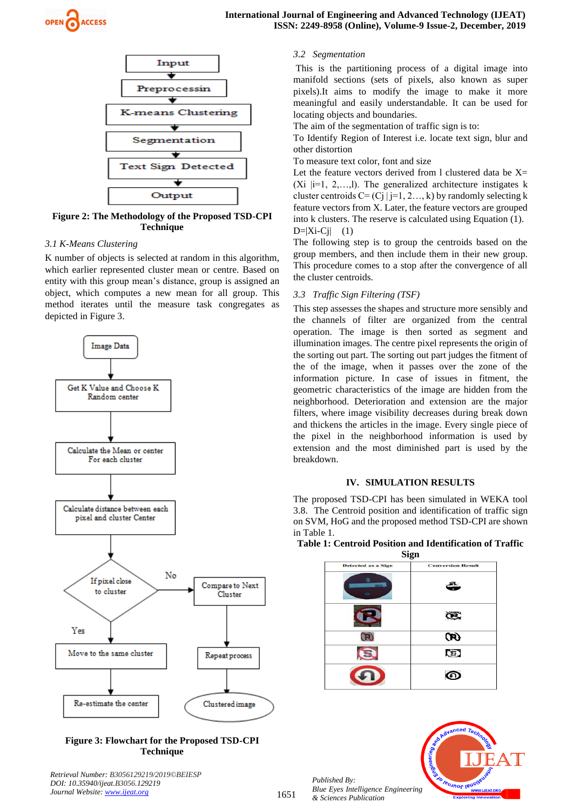



**Figure 2: The Methodology of the Proposed TSD-CPI Technique**

#### *3.1 K-Means Clustering*

K number of objects is selected at random in this algorithm, which earlier represented cluster mean or centre. Based on entity with this group mean's distance, group is assigned an object, which computes a new mean for all group. This method iterates until the measure task congregates as depicted in Figure 3.



## **Figure 3: Flowchart for the Proposed TSD-CPI Technique**

*Retrieval Number: B3056129219/2019©BEIESP DOI: 10.35940/ijeat.B3056.129219 Journal Website[: www.ijeat.org](http://www.ijeat.org/)*

## *3.2 Segmentation*

This is the partitioning process of a digital image into manifold sections (sets of pixels, also known as super pixels).It aims to modify the image to make it more meaningful and easily understandable. It can be used for locating objects and boundaries.

The aim of the segmentation of traffic sign is to:

To Identify Region of Interest i.e. locate text sign, blur and other distortion

To measure text color, font and size

Let the feature vectors derived from 1 clustered data be  $X=$ (Xi  $|i=1, 2,...,l$ ). The generalized architecture instigates k cluster centroids  $C = (Cj | j=1, 2..., k)$  by randomly selecting k feature vectors from X. Later, the feature vectors are grouped into k clusters. The reserve is calculated using Equation (1).  $D=|Xi-Cj|$  (1)

The following step is to group the centroids based on the group members, and then include them in their new group. This procedure comes to a stop after the convergence of all the cluster centroids.

#### *3.3 Traffic Sign Filtering (TSF)*

This step assesses the shapes and structure more sensibly and the channels of filter are organized from the central operation. The image is then sorted as segment and illumination images. The centre pixel represents the origin of the sorting out part. The sorting out part judges the fitment of the of the image, when it passes over the zone of the information picture. In case of issues in fitment, the geometric characteristics of the image are hidden from the neighborhood. Deterioration and extension are the major filters, where image visibility decreases during break down and thickens the articles in the image. Every single piece of the pixel in the neighborhood information is used by extension and the most diminished part is used by the breakdown.

#### **IV. SIMULATION RESULTS**

The proposed TSD-CPI has been simulated in WEKA tool 3.8. The Centroid position and identification of traffic sign on SVM, HoG and the proposed method TSD-CPI are shown in Table 1.

| Table 1: Centroid Position and Identification of Traffic |      |  |
|----------------------------------------------------------|------|--|
|                                                          | Sign |  |

| эідн                                |  |  |    |  |
|-------------------------------------|--|--|----|--|
| <b>Conversion Result</b><br>ڪ<br>Œ. |  |  |    |  |
|                                     |  |  | Œ) |  |
|                                     |  |  | G) |  |
|                                     |  |  |    |  |
|                                     |  |  |    |  |



*Published By: Blue Eyes Intelligence Engineering & Sciences Publication*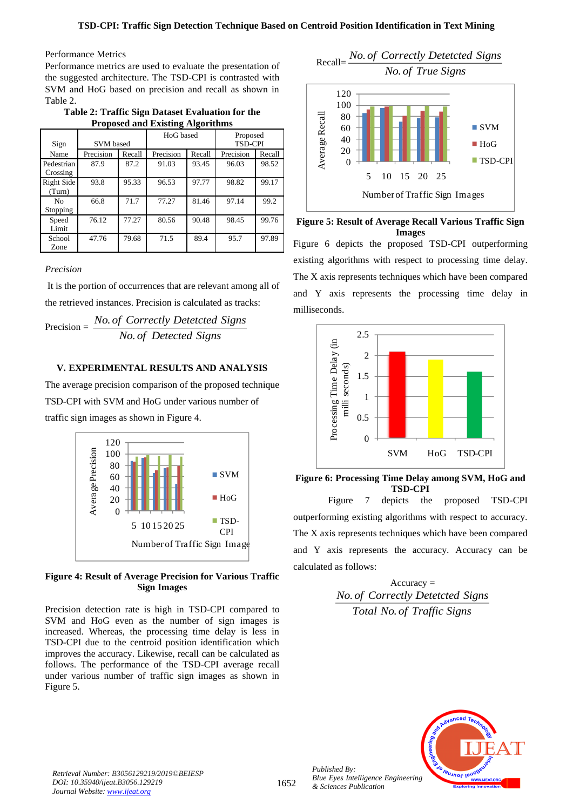## Performance Metrics

Performance metrics are used to evaluate the presentation of the suggested architecture. The TSD-CPI is contrasted with SVM and HoG based on precision and recall as shown in Table 2.

**Table 2: Traffic Sign Dataset Evaluation for the Proposed and Existing Algorithms**

| <b>SVM</b> based<br>Sign   |           | HoG based |           | Proposed<br><b>TSD-CPI</b> |           |        |
|----------------------------|-----------|-----------|-----------|----------------------------|-----------|--------|
| Name                       | Precision | Recall    | Precision | Recall                     | Precision | Recall |
| Pedestrian<br>Crossing     | 87.9      | 87.2      | 91.03     | 93.45                      | 96.03     | 98.52  |
| Right Side<br>(Turn)       | 93.8      | 95.33     | 96.53     | 97.77                      | 98.82     | 99.17  |
| N <sub>0</sub><br>Stopping | 66.8      | 71.7      | 77.27     | 81.46                      | 97.14     | 99.2   |
| Speed<br>Limit             | 76.12     | 77.27     | 80.56     | 90.48                      | 98.45     | 99.76  |
| School<br>Zone             | 47.76     | 79.68     | 71.5      | 89.4                       | 95.7      | 97.89  |

## *Precision*

It is the portion of occurrences that are relevant among all of the retrieved instances. Precision is calculated as tracks:

$$
Precision = \frac{No. \text{ of Correctly Detetcted Signals}}{No. \text{ of Deteted Signals}}
$$

## **V. EXPERIMENTAL RESULTS AND ANALYSIS**

The average precision comparison of the proposed technique TSD-CPI with SVM and HoG under various number of traffic sign images as shown in Figure 4.



## **Figure 4: Result of Average Precision for Various Traffic Sign Images**

Precision detection rate is high in TSD-CPI compared to SVM and HoG even as the number of sign images is increased. Whereas, the processing time delay is less in TSD-CPI due to the centroid position identification which improves the accuracy. Likewise, recall can be calculated as follows. The performance of the TSD-CPI average recall under various number of traffic sign images as shown in Figure 5.



**Figure 5: Result of Average Recall Various Traffic Sign Images** Figure 6 depicts the proposed TSD-CPI outperforming existing algorithms with respect to processing time delay. The X axis represents techniques which have been compared and Y axis represents the processing time delay in milliseconds.



**Figure 6: Processing Time Delay among SVM, HoG and TSD-CPI**

Figure 7 depicts the proposed TSD-CPI outperforming existing algorithms with respect to accuracy. The X axis represents techniques which have been compared and Y axis represents the accuracy. Accuracy can be calculated as follows:

> $Accuracy =$ . *No of Correctly Detetcted Signs* . *Total No of Traffic Signs*